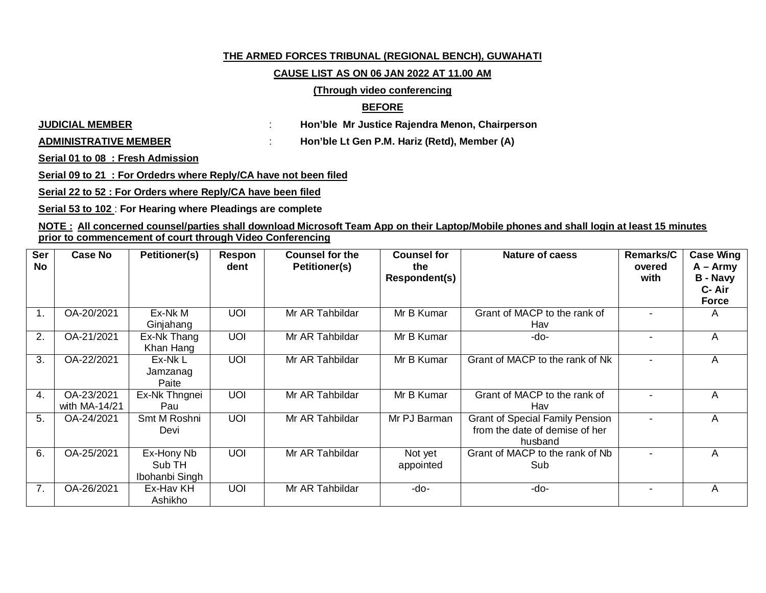# **THE ARMED FORCES TRIBUNAL (REGIONAL BENCH), GUWAHATI**

### **CAUSE LIST AS ON 06 JAN 2022 AT 11.00 AM**

# **(Through video conferencing**

# **BEFORE**

**JUDICIAL MEMBER** : **Hon'ble Mr Justice Rajendra Menon, Chairperson**

**ADMINISTRATIVE MEMBER** : **Hon'ble Lt Gen P.M. Hariz (Retd), Member (A)**

**Serial 01 to 08 : Fresh Admission**

**Serial 09 to 21 : For Ordedrs where Reply/CA have not been filed**

**Serial 22 to 52 : For Orders where Reply/CA have been filed**

**Serial 53 to 102** : **For Hearing where Pleadings are complete**

**NOTE : All concerned counsel/parties shall download Microsoft Team App on their Laptop/Mobile phones and shall login at least 15 minutes prior to commencement of court through Video Conferencing**

| <b>Ser</b><br>No | <b>Case No</b>              | <b>Petitioner(s)</b>                   | Respon<br>dent | <b>Counsel for the</b><br>Petitioner(s) | <b>Counsel for</b><br>the<br>Respondent(s) | <b>Nature of caess</b>                                                              | <b>Remarks/C</b><br>overed<br>with | <b>Case Wing</b><br>$A - Army$<br><b>B</b> - Navy<br>C-Air<br><b>Force</b> |
|------------------|-----------------------------|----------------------------------------|----------------|-----------------------------------------|--------------------------------------------|-------------------------------------------------------------------------------------|------------------------------------|----------------------------------------------------------------------------|
| 1.               | OA-20/2021                  | Ex-Nk M<br>Ginjahang                   | <b>UOI</b>     | Mr AR Tahbildar                         | Mr B Kumar                                 | Grant of MACP to the rank of<br>Hav                                                 |                                    | A                                                                          |
| 2.               | OA-21/2021                  | Ex-Nk Thang<br>Khan Hang               | <b>UOI</b>     | Mr AR Tahbildar                         | Mr B Kumar                                 | -do-                                                                                |                                    | A                                                                          |
| 3.               | OA-22/2021                  | Ex-NkL<br>Jamzanag<br>Paite            | $\overline{U}$ | Mr AR Tahbildar                         | Mr B Kumar                                 | Grant of MACP to the rank of Nk                                                     | $\blacksquare$                     | Α                                                                          |
| 4.               | OA-23/2021<br>with MA-14/21 | Ex-Nk Thngnei<br>Pau                   | <b>UOI</b>     | Mr AR Tahbildar                         | Mr B Kumar                                 | Grant of MACP to the rank of<br>Hav                                                 |                                    | Α                                                                          |
| 5.               | OA-24/2021                  | Smt M Roshni<br>Devi                   | <b>UOI</b>     | Mr AR Tahbildar                         | Mr PJ Barman                               | <b>Grant of Special Family Pension</b><br>from the date of demise of her<br>husband |                                    | Α                                                                          |
| 6.               | OA-25/2021                  | Ex-Hony Nb<br>Sub TH<br>Ibohanbi Singh | <b>UOI</b>     | Mr AR Tahbildar                         | Not yet<br>appointed                       | Grant of MACP to the rank of Nb<br>Sub                                              |                                    | A                                                                          |
| 7.               | OA-26/2021                  | Ex-Hav KH<br>Ashikho                   | <b>UOI</b>     | Mr AR Tahbildar                         | -do-                                       | -do-                                                                                |                                    | A                                                                          |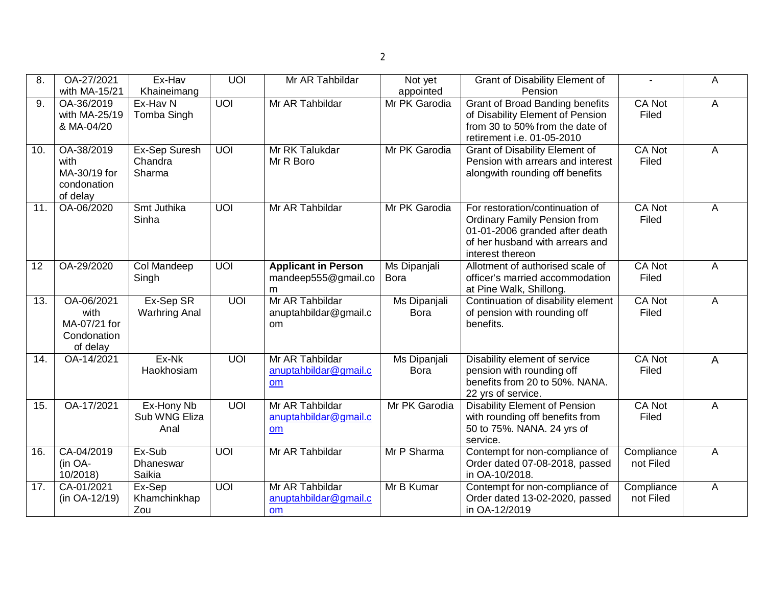| 8.                | OA-27/2021<br>with MA-15/21                                   | Ex-Hav<br>Khaineimang               | <b>UOI</b>     | Mr AR Tahbildar                                           | Not yet<br>appointed               | <b>Grant of Disability Element of</b><br>Pension                                                                                                                |                         | A              |
|-------------------|---------------------------------------------------------------|-------------------------------------|----------------|-----------------------------------------------------------|------------------------------------|-----------------------------------------------------------------------------------------------------------------------------------------------------------------|-------------------------|----------------|
| 9.                | OA-36/2019<br>with MA-25/19<br>& MA-04/20                     | Ex-Hav N<br>Tomba Singh             | UOI            | Mr AR Tahbildar                                           | Mr PK Garodia                      | <b>Grant of Broad Banding benefits</b><br>of Disability Element of Pension<br>from 30 to 50% from the date of<br>retirement i.e. 01-05-2010                     | <b>CA Not</b><br>Filed  | A              |
| 10.               | OA-38/2019<br>with<br>MA-30/19 for<br>condonation<br>of delay | Ex-Sep Suresh<br>Chandra<br>Sharma  | $\overline{U}$ | Mr RK Talukdar<br>Mr R Boro                               | Mr PK Garodia                      | <b>Grant of Disability Element of</b><br>Pension with arrears and interest<br>alongwith rounding off benefits                                                   | CA Not<br>Filed         | A              |
| $\overline{11}$   | OA-06/2020                                                    | Smt Juthika<br>Sinha                | UOI            | Mr AR Tahbildar                                           | Mr PK Garodia                      | For restoration/continuation of<br><b>Ordinary Family Pension from</b><br>01-01-2006 granded after death<br>of her husband with arrears and<br>interest thereon | <b>CA Not</b><br>Filed  | $\overline{A}$ |
| $\overline{12}$   | OA-29/2020                                                    | <b>Col Mandeep</b><br>Singh         | UOI            | <b>Applicant in Person</b><br>mandeep555@gmail.co<br>m    | Ms Dipanjali<br><b>Bora</b>        | Allotment of authorised scale of<br>officer's married accommodation<br>at Pine Walk, Shillong.                                                                  | CA Not<br>Filed         | $\overline{A}$ |
| 13.               | OA-06/2021<br>with<br>MA-07/21 for<br>Condonation<br>of delay | Ex-Sep SR<br><b>Warhring Anal</b>   | UOI            | Mr AR Tahbildar<br>anuptahbildar@gmail.c<br><sub>om</sub> | <b>Ms Dipanjali</b><br><b>Bora</b> | Continuation of disability element<br>of pension with rounding off<br>benefits.                                                                                 | CA Not<br>Filed         | A              |
| 14.               | OA-14/2021                                                    | Ex-Nk<br>Haokhosiam                 | UOI            | Mr AR Tahbildar<br>anuptahbildar@gmail.c<br>om            | <b>Ms Dipanjali</b><br><b>Bora</b> | Disability element of service<br>pension with rounding off<br>benefits from 20 to 50%. NANA.<br>22 yrs of service.                                              | <b>CA Not</b><br>Filed  | A              |
| 15.               | OA-17/2021                                                    | Ex-Hony Nb<br>Sub WNG Eliza<br>Anal | $\overline{U}$ | Mr AR Tahbildar<br>anuptahbildar@gmail.c<br>om            | Mr PK Garodia                      | <b>Disability Element of Pension</b><br>with rounding off benefits from<br>50 to 75%. NANA. 24 yrs of<br>service.                                               | <b>CA Not</b><br>Filed  | A              |
| 16.               | CA-04/2019<br>(in OA-<br>10/2018)                             | Ex-Sub<br>Dhaneswar<br>Saikia       | UOI            | Mr AR Tahbildar                                           | Mr P Sharma                        | Contempt for non-compliance of<br>Order dated 07-08-2018, passed<br>in OA-10/2018.                                                                              | Compliance<br>not Filed | A              |
| $\overline{17}$ . | CA-01/2021<br>(in OA-12/19)                                   | Ex-Sep<br>Khamchinkhap<br>Zou       | UOI            | Mr AR Tahbildar<br>anuptahbildar@gmail.c<br>om            | Mr B Kumar                         | Contempt for non-compliance of<br>Order dated 13-02-2020, passed<br>in OA-12/2019                                                                               | Compliance<br>not Filed | $\overline{A}$ |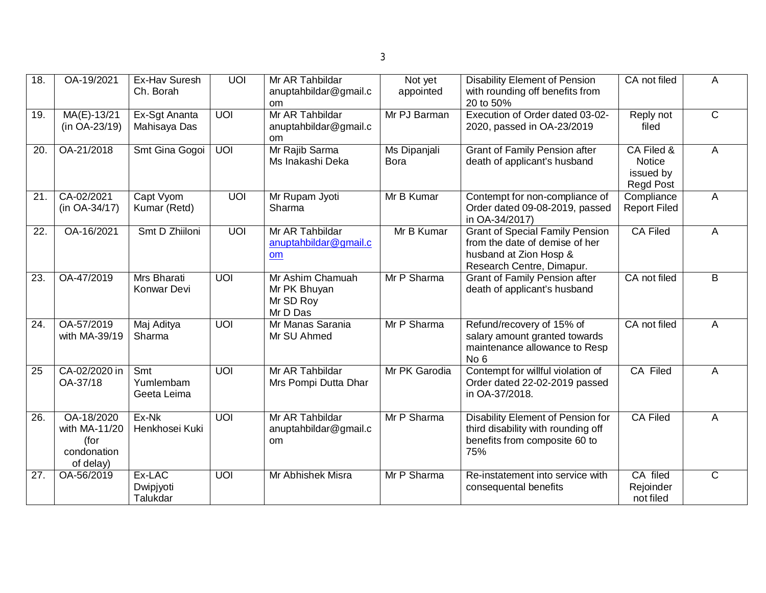| $\overline{18}$ . | OA-19/2021                                                      | Ex-Hav Suresh<br>Ch. Borah                          | <b>UOI</b>      | Mr AR Tahbildar<br>anuptahbildar@gmail.c<br>om            | Not yet<br>appointed        | <b>Disability Element of Pension</b><br>with rounding off benefits from<br>20 to 50%                                            | CA not filed                                                 | A                     |
|-------------------|-----------------------------------------------------------------|-----------------------------------------------------|-----------------|-----------------------------------------------------------|-----------------------------|---------------------------------------------------------------------------------------------------------------------------------|--------------------------------------------------------------|-----------------------|
| 19.               | MA(E)-13/21<br>(in OA-23/19)                                    | Ex-Sgt Ananta<br>Mahisaya Das                       | UOI             | Mr AR Tahbildar<br>anuptahbildar@gmail.c<br>om            | Mr PJ Barman                | Execution of Order dated 03-02-<br>2020, passed in OA-23/2019                                                                   | Reply not<br>filed                                           | $\overline{C}$        |
| 20.               | OA-21/2018                                                      | Smt Gina Gogoi                                      | <b>UOI</b>      | Mr Rajib Sarma<br>Ms Inakashi Deka                        | Ms Dipanjali<br><b>Bora</b> | <b>Grant of Family Pension after</b><br>death of applicant's husband                                                            | CA Filed &<br><b>Notice</b><br>issued by<br><b>Regd Post</b> | A                     |
| 21.               | CA-02/2021<br>(in OA-34/17)                                     | Capt Vyom<br>Kumar (Retd)                           | <b>UOI</b>      | Mr Rupam Jyoti<br>Sharma                                  | Mr B Kumar                  | Contempt for non-compliance of<br>Order dated 09-08-2019, passed<br>in OA-34/2017)                                              | Compliance<br><b>Report Filed</b>                            | A                     |
| $\overline{22}$ . | OA-16/2021                                                      | Smt D Zhiiloni                                      | UOI             | Mr AR Tahbildar<br>anuptahbildar@gmail.c<br>om            | Mr B Kumar                  | <b>Grant of Special Family Pension</b><br>from the date of demise of her<br>husband at Zion Hosp &<br>Research Centre, Dimapur. | <b>CA Filed</b>                                              | A                     |
| 23.               | OA-47/2019                                                      | Mrs Bharati<br>Konwar Devi                          | <b>UOI</b>      | Mr Ashim Chamuah<br>Mr PK Bhuyan<br>Mr SD Roy<br>Mr D Das | Mr P Sharma                 | <b>Grant of Family Pension after</b><br>death of applicant's husband                                                            | CA not filed                                                 | B                     |
| $\overline{24}$   | OA-57/2019<br>with MA-39/19                                     | Maj Aditya<br>Sharma                                | <b>UOI</b>      | Mr Manas Sarania<br>Mr SU Ahmed                           | Mr P Sharma                 | Refund/recovery of 15% of<br>salary amount granted towards<br>maintenance allowance to Resp<br>No <sub>6</sub>                  | CA not filed                                                 | A                     |
| $\overline{25}$   | CA-02/2020 in<br>OA-37/18                                       | $\overline{\text{Smt}}$<br>Yumlembam<br>Geeta Leima | UOI             | Mr AR Tahbildar<br>Mrs Pompi Dutta Dhar                   | Mr PK Garodia               | Contempt for willful violation of<br>Order dated 22-02-2019 passed<br>in OA-37/2018.                                            | CA Filed                                                     | A                     |
| $\overline{26}$   | OA-18/2020<br>with MA-11/20<br>(for<br>condonation<br>of delay) | Ex-Nk<br>Henkhosei Kuki                             | $\overline{U}$  | Mr AR Tahbildar<br>anuptahbildar@gmail.c<br>om            | Mr P Sharma                 | Disability Element of Pension for<br>third disability with rounding off<br>benefits from composite 60 to<br>75%                 | <b>CA Filed</b>                                              | A                     |
| $\overline{27}$ . | OA-56/2019                                                      | Ex-LAC<br>Dwipjyoti<br>Talukdar                     | $\overline{10}$ | Mr Abhishek Misra                                         | Mr P Sharma                 | Re-instatement into service with<br>consequental benefits                                                                       | CA filed<br>Rejoinder<br>not filed                           | $\overline{\text{C}}$ |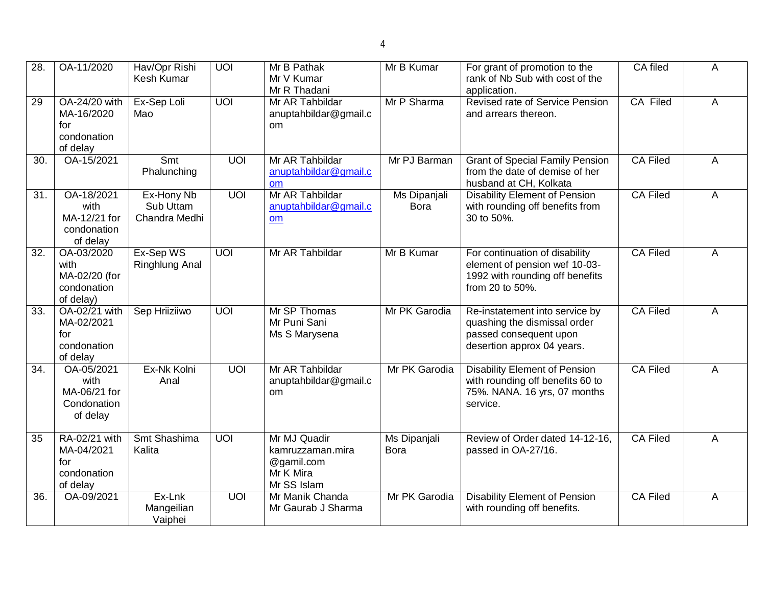| 28.               | OA-11/2020                                                      | Hav/Opr Rishi<br>Kesh Kumar              | UOI            | Mr B Pathak<br>Mr V Kumar<br>Mr R Thadani                                  | Mr B Kumar                         | For grant of promotion to the<br>rank of Nb Sub with cost of the<br>application.                                       | CA filed        | A |
|-------------------|-----------------------------------------------------------------|------------------------------------------|----------------|----------------------------------------------------------------------------|------------------------------------|------------------------------------------------------------------------------------------------------------------------|-----------------|---|
| 29                | OA-24/20 with<br>MA-16/2020<br>for<br>condonation<br>of delay   | Ex-Sep Loli<br>Mao                       | $\overline{U}$ | Mr AR Tahbildar<br>anuptahbildar@gmail.c<br><sub>om</sub>                  | Mr P Sharma                        | Revised rate of Service Pension<br>and arrears thereon.                                                                | CA Filed        | A |
| 30.               | OA-15/2021                                                      | Smt<br>Phalunching                       | $\overline{U}$ | Mr AR Tahbildar<br>anuptahbildar@gmail.c<br>om                             | Mr PJ Barman                       | <b>Grant of Special Family Pension</b><br>from the date of demise of her<br>husband at CH, Kolkata                     | <b>CA Filed</b> | A |
| 31.               | OA-18/2021<br>with<br>MA-12/21 for<br>condonation<br>of delay   | Ex-Hony Nb<br>Sub Uttam<br>Chandra Medhi | UOI            | Mr AR Tahbildar<br>anuptahbildar@gmail.c<br>om                             | <b>Ms Dipanjali</b><br><b>Bora</b> | <b>Disability Element of Pension</b><br>with rounding off benefits from<br>30 to 50%.                                  | <b>CA Filed</b> | A |
| 32.               | OA-03/2020<br>with<br>MA-02/20 (for<br>condonation<br>of delay) | Ex-Sep WS<br>Ringhlung Anal              | UOI            | Mr AR Tahbildar                                                            | Mr B Kumar                         | For continuation of disability<br>element of pension wef 10-03-<br>1992 with rounding off benefits<br>from 20 to 50%.  | <b>CA Filed</b> | A |
| 33.               | OA-02/21 with<br>MA-02/2021<br>for<br>condonation<br>of delay   | Sep Hriiziiwo                            | UOI            | Mr SP Thomas<br>Mr Puni Sani<br>Ms S Marysena                              | Mr PK Garodia                      | Re-instatement into service by<br>quashing the dismissal order<br>passed consequent upon<br>desertion approx 04 years. | CA Filed        | A |
| $\overline{34}$ . | OA-05/2021<br>with<br>MA-06/21 for<br>Condonation<br>of delay   | Ex-Nk Kolni<br>Anal                      | UOI            | Mr AR Tahbildar<br>anuptahbildar@gmail.c<br>om                             | Mr PK Garodia                      | <b>Disability Element of Pension</b><br>with rounding off benefits 60 to<br>75%. NANA. 16 yrs, 07 months<br>service.   | <b>CA Filed</b> | A |
| 35                | RA-02/21 with<br>MA-04/2021<br>for<br>condonation<br>of delay   | Smt Shashima<br>Kalita                   | $\overline{U}$ | Mr MJ Quadir<br>kamruzzaman.mira<br>@gamil.com<br>Mr K Mira<br>Mr SS Islam | <b>Ms Dipanjali</b><br><b>Bora</b> | Review of Order dated 14-12-16,<br>passed in OA-27/16.                                                                 | <b>CA Filed</b> | A |
| 36.               | OA-09/2021                                                      | Ex-Lnk<br>Mangeilian<br>Vaiphei          | $\overline{U}$ | Mr Manik Chanda<br>Mr Gaurab J Sharma                                      | Mr PK Garodia                      | <b>Disability Element of Pension</b><br>with rounding off benefits.                                                    | <b>CA Filed</b> | A |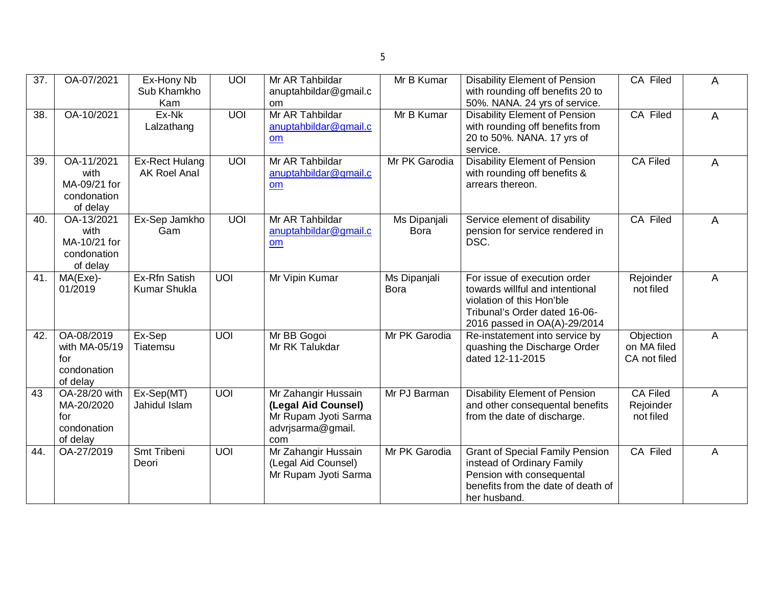| 37.               | OA-07/2021                                                    | Ex-Hony Nb<br>Sub Khamkho<br>Kam             | UOI | Mr AR Tahbildar<br>anuptahbildar@gmail.c<br>om                                                 | Mr B Kumar                  | <b>Disability Element of Pension</b><br>with rounding off benefits 20 to<br>50%. NANA. 24 yrs of service.                                                     | <b>CA Filed</b>                           | A |
|-------------------|---------------------------------------------------------------|----------------------------------------------|-----|------------------------------------------------------------------------------------------------|-----------------------------|---------------------------------------------------------------------------------------------------------------------------------------------------------------|-------------------------------------------|---|
| $\overline{38}$ . | OA-10/2021                                                    | $Ex-Nk$<br>Lalzathang                        | UOI | Mr AR Tahbildar<br>anuptahbildar@gmail.c<br>om                                                 | Mr B Kumar                  | <b>Disability Element of Pension</b><br>with rounding off benefits from<br>20 to 50%. NANA. 17 yrs of<br>service.                                             | <b>CA Filed</b>                           | A |
| $\overline{39}$ . | OA-11/2021<br>with<br>MA-09/21 for<br>condonation<br>of delay | <b>Ex-Rect Hulang</b><br><b>AK Roel Anal</b> | UOI | Mr AR Tahbildar<br>anuptahbildar@gmail.c<br>om                                                 | Mr PK Garodia               | <b>Disability Element of Pension</b><br>with rounding off benefits &<br>arrears thereon.                                                                      | <b>CA Filed</b>                           | A |
| 40.               | OA-13/2021<br>with<br>MA-10/21 for<br>condonation<br>of delay | Ex-Sep Jamkho<br>Gam                         | UOI | Mr AR Tahbildar<br>anuptahbildar@gmail.c<br>om                                                 | <b>Ms Dipanjali</b><br>Bora | Service element of disability<br>pension for service rendered in<br>DSC.                                                                                      | CA Filed                                  | A |
| 41.               | MA(Exe)-<br>01/2019                                           | Ex-Rfn Satish<br><b>Kumar Shukla</b>         | UOI | Mr Vipin Kumar                                                                                 | Ms Dipanjali<br><b>Bora</b> | For issue of execution order<br>towards willful and intentional<br>violation of this Hon'ble<br>Tribunal's Order dated 16-06-<br>2016 passed in OA(A)-29/2014 | Rejoinder<br>not filed                    | A |
| 42.               | OA-08/2019<br>with MA-05/19<br>for<br>condonation<br>of delay | Ex-Sep<br>Tiatemsu                           | UOI | Mr BB Gogoi<br>Mr RK Talukdar                                                                  | Mr PK Garodia               | Re-instatement into service by<br>quashing the Discharge Order<br>dated 12-11-2015                                                                            | Objection<br>on MA filed<br>CA not filed  | A |
| 43                | OA-28/20 with<br>MA-20/2020<br>for<br>condonation<br>of delay | Ex-Sep(MT)<br>Jahidul Islam                  | UOI | Mr Zahangir Hussain<br>(Legal Aid Counsel)<br>Mr Rupam Jyoti Sarma<br>advrjsarma@gmail.<br>com | Mr PJ Barman                | <b>Disability Element of Pension</b><br>and other consequental benefits<br>from the date of discharge.                                                        | <b>CA Filed</b><br>Rejoinder<br>not filed | A |
| 44.               | OA-27/2019                                                    | <b>Smt Tribeni</b><br>Deori                  | UOI | Mr Zahangir Hussain<br>(Legal Aid Counsel)<br>Mr Rupam Jyoti Sarma                             | Mr PK Garodia               | <b>Grant of Special Family Pension</b><br>instead of Ordinary Family<br>Pension with consequental<br>benefits from the date of death of<br>her husband.       | <b>CA Filed</b>                           | A |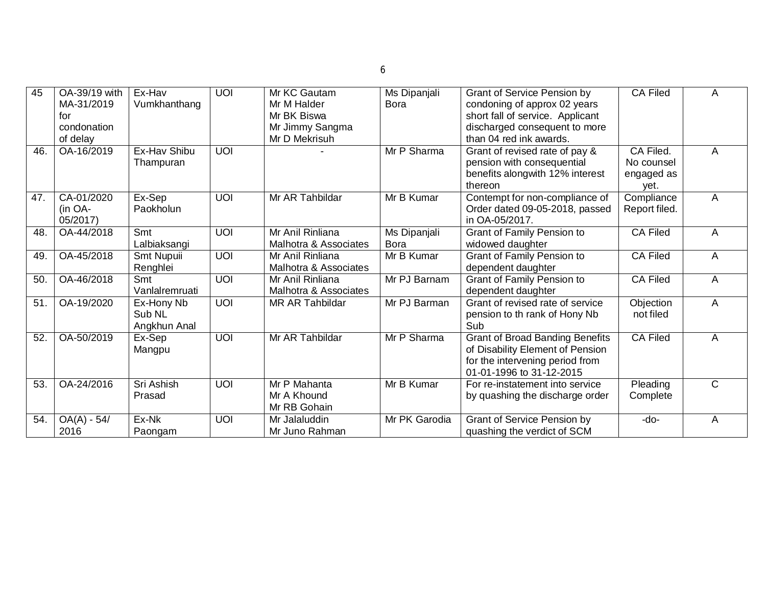| 45  | OA-39/19 with     | Ex-Hav         | $\overline{U}$ | Mr KC Gautam               | Ms Dipanjali  | <b>Grant of Service Pension by</b>                               | <b>CA Filed</b> | A              |
|-----|-------------------|----------------|----------------|----------------------------|---------------|------------------------------------------------------------------|-----------------|----------------|
|     | MA-31/2019<br>for | Vumkhanthang   |                | Mr M Halder<br>Mr BK Biswa | Bora          | condoning of approx 02 years<br>short fall of service. Applicant |                 |                |
|     | condonation       |                |                | Mr Jimmy Sangma            |               | discharged consequent to more                                    |                 |                |
|     | of delay          |                |                | Mr D Mekrisuh              |               | than 04 red ink awards.                                          |                 |                |
| 46. | OA-16/2019        | Ex-Hav Shibu   | <b>UOI</b>     |                            | Mr P Sharma   | Grant of revised rate of pay &                                   | CA Filed.       | A              |
|     |                   | Thampuran      |                |                            |               | pension with consequential                                       | No counsel      |                |
|     |                   |                |                |                            |               | benefits alongwith 12% interest                                  | engaged as      |                |
|     |                   |                |                |                            |               | thereon                                                          | yet.            |                |
| 47. | CA-01/2020        | Ex-Sep         | <b>UOI</b>     | Mr AR Tahbildar            | Mr B Kumar    | Contempt for non-compliance of                                   | Compliance      | A              |
|     | (in OA-           | Paokholun      |                |                            |               | Order dated 09-05-2018, passed                                   | Report filed.   |                |
|     | 05/2017)          |                |                |                            |               | in OA-05/2017.                                                   |                 |                |
| 48. | OA-44/2018        | Smt            | $\overline{U}$ | Mr Anil Rinliana           | Ms Dipanjali  | <b>Grant of Family Pension to</b>                                | <b>CA Filed</b> | A              |
|     |                   | Lalbiaksangi   |                | Malhotra & Associates      | <b>Bora</b>   | widowed daughter                                                 |                 |                |
| 49. | OA-45/2018        | Smt Nupuii     | <b>UOI</b>     | Mr Anil Rinliana           | Mr B Kumar    | <b>Grant of Family Pension to</b>                                | <b>CA Filed</b> | A              |
|     |                   | Renghlei       |                | Malhotra & Associates      |               | dependent daughter                                               |                 |                |
| 50. | OA-46/2018        | Smt            | $\overline{U}$ | Mr Anil Rinliana           | Mr PJ Barnam  | <b>Grant of Family Pension to</b>                                | <b>CA Filed</b> | A              |
|     |                   | Vanlalremruati |                | Malhotra & Associates      |               | dependent daughter                                               |                 |                |
| 51. | OA-19/2020        | Ex-Hony Nb     | <b>UOI</b>     | <b>MR AR Tahbildar</b>     | Mr PJ Barman  | Grant of revised rate of service                                 | Objection       | A              |
|     |                   | Sub NL         |                |                            |               | pension to th rank of Hony Nb                                    | not filed       |                |
|     |                   | Angkhun Anal   |                |                            |               | Sub                                                              |                 |                |
| 52. | OA-50/2019        | Ex-Sep         | $\overline{U}$ | Mr AR Tahbildar            | Mr P Sharma   | <b>Grant of Broad Banding Benefits</b>                           | <b>CA Filed</b> | A              |
|     |                   | Mangpu         |                |                            |               | of Disability Element of Pension                                 |                 |                |
|     |                   |                |                |                            |               | for the intervening period from                                  |                 |                |
| 53. | OA-24/2016        | Sri Ashish     |                | Mr P Mahanta               |               | 01-01-1996 to 31-12-2015<br>For re-instatement into service      |                 | $\overline{C}$ |
|     |                   |                | <b>UOI</b>     | Mr A Khound                | Mr B Kumar    |                                                                  | Pleading        |                |
|     |                   | Prasad         |                | Mr RB Gohain               |               | by quashing the discharge order                                  | Complete        |                |
| 54. | $OA(A) - 54/$     | Ex-Nk          | <b>UOI</b>     | Mr Jalaluddin              | Mr PK Garodia | Grant of Service Pension by                                      | -do-            | A              |
|     | 2016              | Paongam        |                | Mr Juno Rahman             |               | quashing the verdict of SCM                                      |                 |                |
|     |                   |                |                |                            |               |                                                                  |                 |                |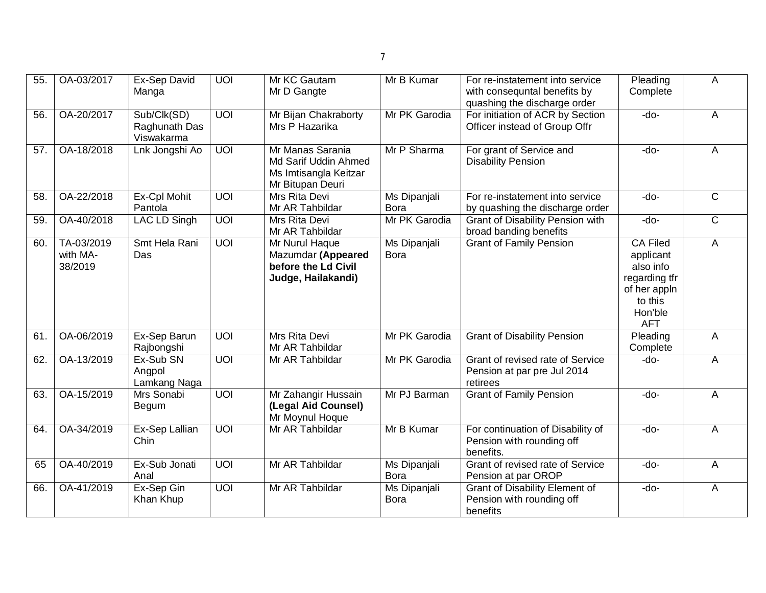| 55. | OA-03/2017                        | Ex-Sep David<br>Manga                      | <b>UOI</b>     | Mr KC Gautam<br>Mr D Gangte                                                           | Mr B Kumar                         | For re-instatement into service<br>with consequntal benefits by<br>quashing the discharge order | Pleading<br>Complete                                                                                           | A              |
|-----|-----------------------------------|--------------------------------------------|----------------|---------------------------------------------------------------------------------------|------------------------------------|-------------------------------------------------------------------------------------------------|----------------------------------------------------------------------------------------------------------------|----------------|
| 56. | OA-20/2017                        | Sub/Clk(SD)<br>Raghunath Das<br>Viswakarma | UOI            | Mr Bijan Chakraborty<br>Mrs P Hazarika                                                | Mr PK Garodia                      | For initiation of ACR by Section<br>Officer instead of Group Offr                               | $-do-$                                                                                                         | A              |
| 57. | OA-18/2018                        | Lnk Jongshi Ao                             | <b>UOI</b>     | Mr Manas Sarania<br>Md Sarif Uddin Ahmed<br>Ms Imtisangla Keitzar<br>Mr Bitupan Deuri | Mr P Sharma                        | For grant of Service and<br><b>Disability Pension</b>                                           | -do-                                                                                                           | A              |
| 58. | OA-22/2018                        | Ex-Cpl Mohit<br>Pantola                    | $\overline{U}$ | Mrs Rita Devi<br>Mr AR Tahbildar                                                      | Ms Dipanjali<br><b>Bora</b>        | For re-instatement into service<br>by quashing the discharge order                              | -do-                                                                                                           | $\overline{C}$ |
| 59. | OA-40/2018                        | LAC LD Singh                               | $\overline{U}$ | Mrs Rita Devi<br>Mr AR Tahbildar                                                      | Mr PK Garodia                      | Grant of Disability Pension with<br>broad banding benefits                                      | -do-                                                                                                           | $\overline{C}$ |
| 60. | TA-03/2019<br>with MA-<br>38/2019 | Smt Hela Rani<br>Das                       | $\overline{U}$ | Mr Nurul Haque<br>Mazumdar (Appeared<br>before the Ld Civil<br>Judge, Hailakandi)     | Ms Dipanjali<br><b>Bora</b>        | <b>Grant of Family Pension</b>                                                                  | <b>CA Filed</b><br>applicant<br>also info<br>regarding tfr<br>of her appln<br>to this<br>Hon'ble<br><b>AFT</b> | A              |
| 61. | OA-06/2019                        | Ex-Sep Barun<br>Rajbongshi                 | <b>UOI</b>     | Mrs Rita Devi<br>Mr AR Tahbildar                                                      | Mr PK Garodia                      | <b>Grant of Disability Pension</b>                                                              | Pleading<br>Complete                                                                                           | A              |
| 62. | OA-13/2019                        | Ex-Sub SN<br>Angpol<br>Lamkang Naga        | UOI            | Mr AR Tahbildar                                                                       | Mr PK Garodia                      | Grant of revised rate of Service<br>Pension at par pre Jul 2014<br>retirees                     | -do-                                                                                                           | A              |
| 63. | OA-15/2019                        | Mrs Sonabi<br>Begum                        | UOI            | Mr Zahangir Hussain<br>(Legal Aid Counsel)<br>Mr Moynul Hoque                         | Mr PJ Barman                       | <b>Grant of Family Pension</b>                                                                  | -do-                                                                                                           | A              |
| 64. | OA-34/2019                        | Ex-Sep Lallian<br>Chin                     | UOI            | Mr AR Tahbildar                                                                       | Mr B Kumar                         | For continuation of Disability of<br>Pension with rounding off<br>benefits.                     | -do-                                                                                                           | A              |
| 65  | OA-40/2019                        | Ex-Sub Jonati<br>Anal                      | UOI            | Mr AR Tahbildar                                                                       | <b>Ms Dipanjali</b><br>Bora        | Grant of revised rate of Service<br>Pension at par OROP                                         | $-do-$                                                                                                         | $\overline{A}$ |
| 66. | OA-41/2019                        | Ex-Sep Gin<br>Khan Khup                    | $\overline{U}$ | Mr AR Tahbildar                                                                       | <b>Ms Dipanjali</b><br><b>Bora</b> | <b>Grant of Disability Element of</b><br>Pension with rounding off<br>benefits                  | -do-                                                                                                           | A              |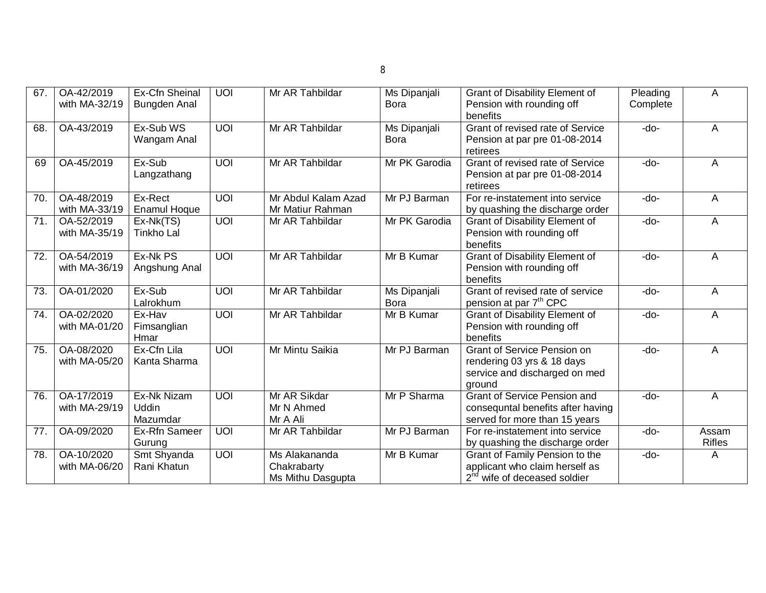| 67.             | OA-42/2019<br>with MA-32/19 | Ex-Cfn Sheinal<br><b>Bungden Anal</b>   | <b>UOI</b>      | Mr AR Tahbildar                                   | Ms Dipanjali<br>Bora               | <b>Grant of Disability Element of</b><br>Pension with rounding off<br>benefits                               | Pleading<br>Complete | A                      |
|-----------------|-----------------------------|-----------------------------------------|-----------------|---------------------------------------------------|------------------------------------|--------------------------------------------------------------------------------------------------------------|----------------------|------------------------|
| 68.             | OA-43/2019                  | Ex-Sub WS<br>Wangam Anal                | <b>UOI</b>      | Mr AR Tahbildar                                   | Ms Dipanjali<br><b>Bora</b>        | Grant of revised rate of Service<br>Pension at par pre 01-08-2014<br>retirees                                | -do-                 | A                      |
| 69              | OA-45/2019                  | Ex-Sub<br>Langzathang                   | $\overline{U}$  | Mr AR Tahbildar                                   | Mr PK Garodia                      | Grant of revised rate of Service<br>Pension at par pre 01-08-2014<br>retirees                                | $-do-$               | A                      |
| 70.             | OA-48/2019<br>with MA-33/19 | Ex-Rect<br><b>Enamul Hoque</b>          | <b>UOI</b>      | Mr Abdul Kalam Azad<br>Mr Matiur Rahman           | Mr PJ Barman                       | For re-instatement into service<br>by quashing the discharge order                                           | $-do-$               | A                      |
| 71.             | OA-52/2019<br>with MA-35/19 | Ex-Nk(TS)<br><b>Tinkho Lal</b>          | $\overline{U}$  | Mr AR Tahbildar                                   | Mr PK Garodia                      | <b>Grant of Disability Element of</b><br>Pension with rounding off<br>benefits                               | -do-                 | A                      |
| 72.             | OA-54/2019<br>with MA-36/19 | Ex-Nk PS<br>Angshung Anal               | $\overline{10}$ | Mr AR Tahbildar                                   | Mr B Kumar                         | <b>Grant of Disability Element of</b><br>Pension with rounding off<br>benefits                               | $-do-$               | A                      |
| $\overline{73}$ | OA-01/2020                  | Ex-Sub<br>Lalrokhum                     | $\overline{10}$ | Mr AR Tahbildar                                   | <b>Ms Dipanjali</b><br><b>Bora</b> | Grant of revised rate of service<br>pension at par 7 <sup>th</sup> CPC                                       | $-do-$               | $\overline{A}$         |
| 74.             | OA-02/2020<br>with MA-01/20 | Ex-Hav<br>Fimsanglian<br>Hmar           | $\overline{10}$ | Mr AR Tahbildar                                   | Mr B Kumar                         | <b>Grant of Disability Element of</b><br>Pension with rounding off<br>benefits                               | $-do-$               | A                      |
| 75.             | OA-08/2020<br>with MA-05/20 | Ex-Cfn Lila<br>Kanta Sharma             | <b>UOI</b>      | Mr Mintu Saikia                                   | Mr PJ Barman                       | <b>Grant of Service Pension on</b><br>rendering 03 yrs & 18 days<br>service and discharged on med<br>ground  | $-do-$               | A                      |
| 76.             | OA-17/2019<br>with MA-29/19 | Ex-Nk Nizam<br><b>Uddin</b><br>Mazumdar | <b>UOI</b>      | Mr AR Sikdar<br>Mr N Ahmed<br>Mr A Ali            | Mr P Sharma                        | <b>Grant of Service Pension and</b><br>consequntal benefits after having<br>served for more than 15 years    | $-do-$               | A                      |
| 77.             | OA-09/2020                  | Ex-Rfn Sameer<br>Gurung                 | UOI             | Mr AR Tahbildar                                   | Mr PJ Barman                       | For re-instatement into service<br>by quashing the discharge order                                           | $-do-$               | Assam<br><b>Rifles</b> |
| 78.             | OA-10/2020<br>with MA-06/20 | Smt Shyanda<br>Rani Khatun              | <b>UOI</b>      | Ms Alakananda<br>Chakrabarty<br>Ms Mithu Dasgupta | Mr B Kumar                         | Grant of Family Pension to the<br>applicant who claim herself as<br>2 <sup>nd</sup> wife of deceased soldier | $-do-$               | A                      |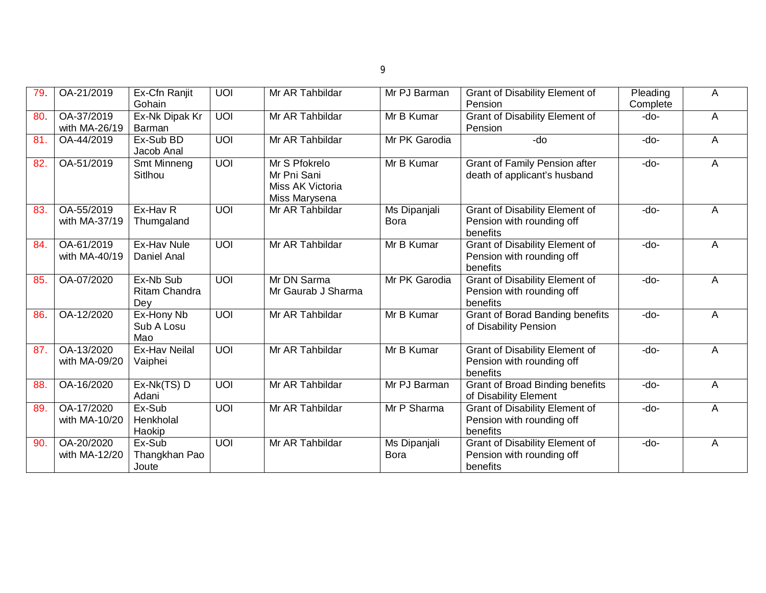| 79  | OA-21/2019                  | Ex-Cfn Ranjit<br>Gohain                  | $\overline{U}$ | Mr AR Tahbildar                                                   | Mr PJ Barman                | <b>Grant of Disability Element of</b><br>Pension                               | Pleading<br>Complete | A |
|-----|-----------------------------|------------------------------------------|----------------|-------------------------------------------------------------------|-----------------------------|--------------------------------------------------------------------------------|----------------------|---|
| 80  | OA-37/2019<br>with MA-26/19 | Ex-Nk Dipak Kr<br>Barman                 | UOI            | Mr AR Tahbildar                                                   | Mr B Kumar                  | <b>Grant of Disability Element of</b><br>Pension                               | -do-                 | A |
| 81. | OA-44/2019                  | Ex-Sub BD<br>Jacob Anal                  | $\overline{U}$ | Mr AR Tahbildar                                                   | Mr PK Garodia               | -do                                                                            | -do-                 | A |
| 82. | OA-51/2019                  | Smt Minneng<br>Sitlhou                   | UOI            | Mr S Pfokrelo<br>Mr Pni Sani<br>Miss AK Victoria<br>Miss Marysena | Mr B Kumar                  | <b>Grant of Family Pension after</b><br>death of applicant's husband           | $-do-$               | A |
| 83. | OA-55/2019<br>with MA-37/19 | Ex-Hav <sub>R</sub><br>Thumgaland        | UOI            | Mr AR Tahbildar                                                   | Ms Dipanjali<br><b>Bora</b> | <b>Grant of Disability Element of</b><br>Pension with rounding off<br>benefits | $-do-$               | Α |
| 84. | OA-61/2019<br>with MA-40/19 | Ex-Hav Nule<br>Daniel Anal               | UOI            | Mr AR Tahbildar                                                   | Mr B Kumar                  | <b>Grant of Disability Element of</b><br>Pension with rounding off<br>benefits | $-do-$               | A |
| 85. | OA-07/2020                  | Ex-Nb Sub<br><b>Ritam Chandra</b><br>Dey | $\overline{U}$ | Mr DN Sarma<br>Mr Gaurab J Sharma                                 | Mr PK Garodia               | <b>Grant of Disability Element of</b><br>Pension with rounding off<br>benefits | $-do-$               | A |
| 86  | OA-12/2020                  | Ex-Hony Nb<br>Sub A Losu<br>Mao          | <b>UOI</b>     | Mr AR Tahbildar                                                   | Mr B Kumar                  | <b>Grant of Borad Banding benefits</b><br>of Disability Pension                | $-do-$               | A |
| 87. | OA-13/2020<br>with MA-09/20 | <b>Ex-Hav Neilal</b><br>Vaiphei          | $\overline{U}$ | Mr AR Tahbildar                                                   | Mr B Kumar                  | Grant of Disability Element of<br>Pension with rounding off<br>benefits        | $-do-$               | A |
| 88. | OA-16/2020                  | Ex-Nk(TS) D<br>Adani                     | $\overline{U}$ | Mr AR Tahbildar                                                   | Mr PJ Barman                | <b>Grant of Broad Binding benefits</b><br>of Disability Element                | -do-                 | A |
| 89. | OA-17/2020<br>with MA-10/20 | Ex-Sub<br>Henkholal<br>Haokip            | <b>UOI</b>     | Mr AR Tahbildar                                                   | Mr P Sharma                 | Grant of Disability Element of<br>Pension with rounding off<br>benefits        | -do-                 | A |
| 90. | OA-20/2020<br>with MA-12/20 | Ex-Sub<br>Thangkhan Pao<br>Joute         | UOI            | Mr AR Tahbildar                                                   | Ms Dipanjali<br><b>Bora</b> | <b>Grant of Disability Element of</b><br>Pension with rounding off<br>benefits | -do-                 | A |